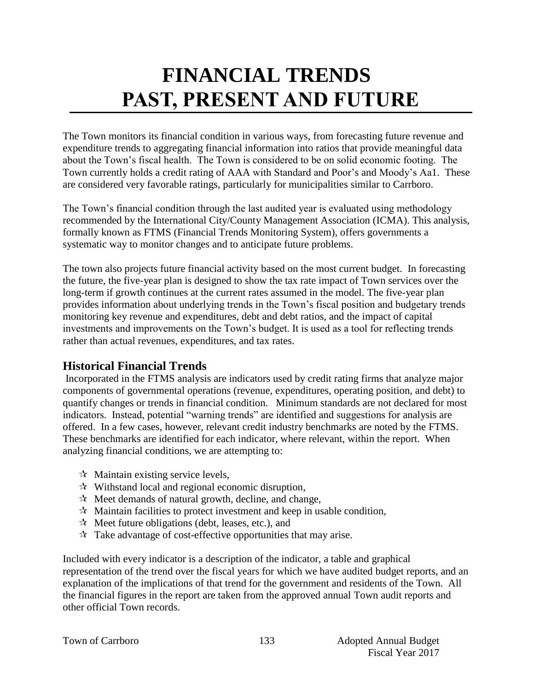# **FINANCIAL TRENDS PAST, PRESENT AND FUTURE**

The Town monitors its financial condition in various ways, from forecasting future revenue and expenditure trends to aggregating financial information into ratios that provide meaningful data about the Town's fiscal health. The Town is considered to be on solid economic footing. The Town currently holds a credit rating of AAA with Standard and Poor's and Moody's Aa1. These are considered very favorable ratings, particularly for municipalities similar to Carrboro.

The Town's financial condition through the last audited year is evaluated using methodology recommended by the International City/County Management Association (ICMA). This analysis, formally known as FTMS (Financial Trends Monitoring System), offers governments a systematic way to monitor changes and to anticipate future problems.

The town also projects future financial activity based on the most current budget. In forecasting the future, the five-year plan is designed to show the tax rate impact of Town services over the long-term if growth continues at the current rates assumed in the model. The five-year plan provides information about underlying trends in the Town's fiscal position and budgetary trends monitoring key revenue and expenditures, debt and debt ratios, and the impact of capital investments and improvements on the Town's budget. It is used as a tool for reflecting trends rather than actual revenues, expenditures, and tax rates.

## **Historical Financial Trends**

Incorporated in the FTMS analysis are indicators used by credit rating firms that analyze major components of governmental operations (revenue, expenditures, operating position, and debt) to quantify changes or trends in financial condition. Minimum standards are not declared for most indicators. Instead, potential "warning trends" are identified and suggestions for analysis are offered. In a few cases, however, relevant credit industry benchmarks are noted by the FTMS. These benchmarks are identified for each indicator, where relevant, within the report. When analyzing financial conditions, we are attempting to:

- $\forall$  Maintain existing service levels,
- $\mathcal{R}$  Withstand local and regional economic disruption,
- $\mathcal{R}$  Meet demands of natural growth, decline, and change,
- $\mathcal{R}$  Maintain facilities to protect investment and keep in usable condition,
- $\mathcal{R}$  Meet future obligations (debt, leases, etc.), and
- $\mathcal{R}$  Take advantage of cost-effective opportunities that may arise.

Included with every indicator is a description of the indicator, a table and graphical representation of the trend over the fiscal years for which we have audited budget reports, and an explanation of the implications of that trend for the government and residents of the Town. All the financial figures in the report are taken from the approved annual Town audit reports and other official Town records.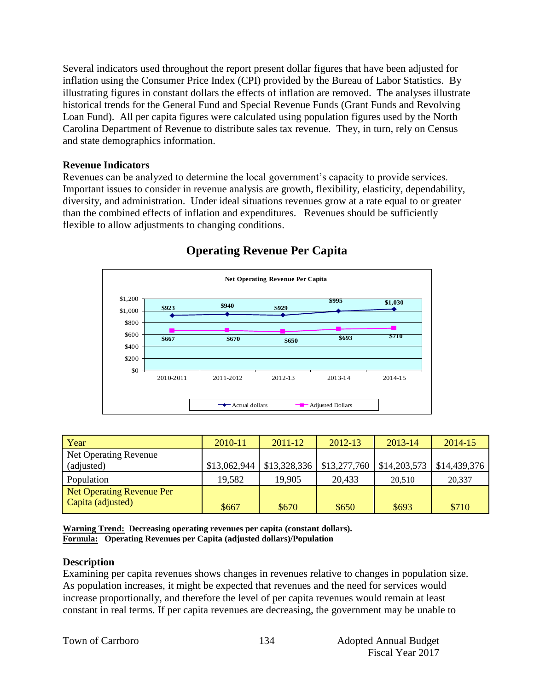Several indicators used throughout the report present dollar figures that have been adjusted for inflation using the Consumer Price Index (CPI) provided by the Bureau of Labor Statistics. By illustrating figures in constant dollars the effects of inflation are removed. The analyses illustrate historical trends for the General Fund and Special Revenue Funds (Grant Funds and Revolving Loan Fund). All per capita figures were calculated using population figures used by the North Carolina Department of Revenue to distribute sales tax revenue. They, in turn, rely on Census and state demographics information.

### **Revenue Indicators**

Revenues can be analyzed to determine the local government's capacity to provide services. Important issues to consider in revenue analysis are growth, flexibility, elasticity, dependability, diversity, and administration. Under ideal situations revenues grow at a rate equal to or greater than the combined effects of inflation and expenditures. Revenues should be sufficiently flexible to allow adjustments to changing conditions.



## **Operating Revenue Per Capita**

| Year                             | 2010-11      | $2011 - 12$  | 2012-13      | 2013-14      | 2014-15      |
|----------------------------------|--------------|--------------|--------------|--------------|--------------|
| Net Operating Revenue            |              |              |              |              |              |
| (adjusted)                       | \$13,062,944 | \$13,328,336 | \$13,277,760 | \$14,203,573 | \$14,439,376 |
| Population                       | 19,582       | 19,905       | 20,433       | 20.510       | 20,337       |
| <b>Net Operating Revenue Per</b> |              |              |              |              |              |
| Capita (adjusted)                | \$667        | \$670        | \$650        | \$693        | \$710        |

**Warning Trend: Decreasing operating revenues per capita (constant dollars). Formula: Operating Revenues per Capita (adjusted dollars)/Population**

## **Description**

Examining per capita revenues shows changes in revenues relative to changes in population size. As population increases, it might be expected that revenues and the need for services would increase proportionally, and therefore the level of per capita revenues would remain at least constant in real terms. If per capita revenues are decreasing, the government may be unable to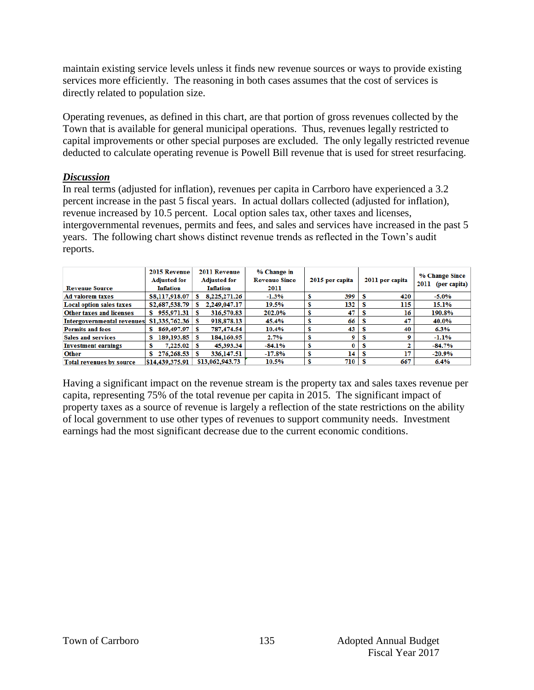maintain existing service levels unless it finds new revenue sources or ways to provide existing services more efficiently. The reasoning in both cases assumes that the cost of services is directly related to population size.

Operating revenues, as defined in this chart, are that portion of gross revenues collected by the Town that is available for general municipal operations. Thus, revenues legally restricted to capital improvements or other special purposes are excluded. The only legally restricted revenue deducted to calculate operating revenue is Powell Bill revenue that is used for street resurfacing.

## *Discussion*

In real terms (adjusted for inflation), revenues per capita in Carrboro have experienced a 3.2 percent increase in the past 5 fiscal years. In actual dollars collected (adjusted for inflation), revenue increased by 10.5 percent. Local option sales tax, other taxes and licenses, intergovernmental revenues, permits and fees, and sales and services have increased in the past 5 years. The following chart shows distinct revenue trends as reflected in the Town's audit reports.

| <b>Revenue Source</b>             | 2015 Revenue<br><b>Adjusted for</b><br><b>Inflation</b> | 2011 Revenue<br><b>Adjusted for</b><br><b>Inflation</b> | % Change in<br><b>Revenue Since</b><br>2011 | 2015 per capita | 2011 per capita | % Change Since<br>2011<br>(per capita) |
|-----------------------------------|---------------------------------------------------------|---------------------------------------------------------|---------------------------------------------|-----------------|-----------------|----------------------------------------|
| <b>Ad valorem taxes</b>           | \$8,117,918.07                                          | 8,225,271.26                                            | $-1.3%$                                     | 399             | 420<br>s        | $-5.0\%$                               |
| <b>Local option sales taxes</b>   | \$2,687,538.79                                          | 2,249,047.17                                            | 19.5%                                       | 132             | 115<br>s        | 15.1%                                  |
| <b>Other taxes and licenses</b>   | 955,971.31<br>s.                                        | 316,570.83                                              | 202.0%                                      | 47              | 16<br>ъ         | 190.8%                                 |
| <b>Intergovernmental revenues</b> | \$1,335,762.36                                          | 918,878.13                                              | 45.4%                                       | 66              | 47              | 40.0%                                  |
| <b>Permits and fees</b>           | 869,497.97                                              | 787.474.54                                              | 10.4%                                       | 43              | 40              | 6.3%                                   |
| <b>Sales and services</b>         | $189.193.85$ S                                          | 184,160.95                                              | 2.7%                                        | 9               | s               | $-1.1\%$                               |
| <b>Investment earnings</b>        | $7.225.02$ S                                            | 45.393.34                                               | -84.1%                                      | 0               | s               | $-84.7%$                               |
| <b>Other</b>                      | 276,268.53                                              | 336,147.51                                              | $-17.8\%$                                   | 14              | 17<br>s         | $-20.9%$                               |
| <b>Total revenues by source</b>   | \$14,439,375.91                                         | \$13,062,943.73                                         | 10.5%                                       | 710             | 667             | 6.4%                                   |

Having a significant impact on the revenue stream is the property tax and sales taxes revenue per capita, representing 75% of the total revenue per capita in 2015. The significant impact of property taxes as a source of revenue is largely a reflection of the state restrictions on the ability of local government to use other types of revenues to support community needs. Investment earnings had the most significant decrease due to the current economic conditions.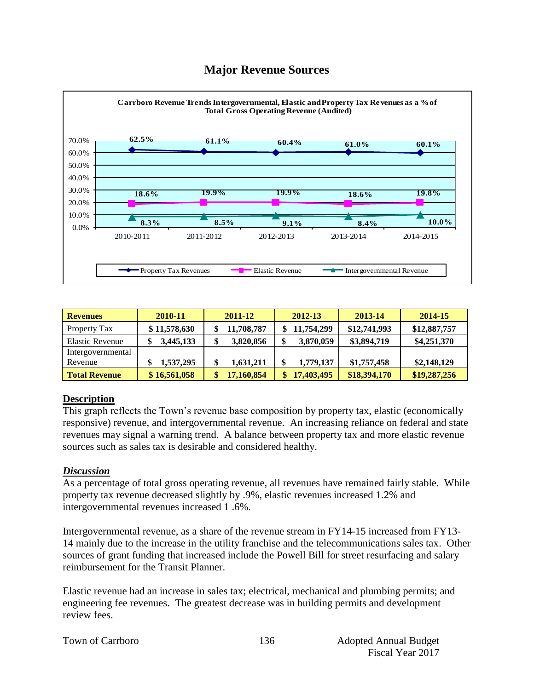## **Major Revenue Sources**



| <b>Revenues</b>      | 2010-11      | 2011-12    | 2012-13    | 2013-14      | 2014-15      |
|----------------------|--------------|------------|------------|--------------|--------------|
| Property Tax         | \$11,578,630 | 11,708,787 | 11,754,299 | \$12,741,993 | \$12,887,757 |
| Elastic Revenue      | 3,445,133    | 3,820,856  | 3,870,059  | \$3,894,719  | \$4,251,370  |
| Intergovernmental    |              |            |            |              |              |
| Revenue              | 1,537,295    | 1,631,211  | 1,779,137  | \$1,757,458  | \$2,148,129  |
| <b>Total Revenue</b> | \$16,561,058 | 17,160,854 | 17,403,495 | \$18,394,170 | \$19,287,256 |

## **Description**

This graph reflects the Town's revenue base composition by property tax, elastic (economically responsive) revenue, and intergovernmental revenue. An increasing reliance on federal and state revenues may signal a warning trend. A balance between property tax and more elastic revenue sources such as sales tax is desirable and considered healthy.

## *Discussion*

As a percentage of total gross operating revenue, all revenues have remained fairly stable. While property tax revenue decreased slightly by .9%, elastic revenues increased 1.2% and intergovernmental revenues increased 1 .6%.

Intergovernmental revenue, as a share of the revenue stream in FY14-15 increased from FY13- 14 mainly due to the increase in the utility franchise and the telecommunications sales tax. Other sources of grant funding that increased include the Powell Bill for street resurfacing and salary reimbursement for the Transit Planner.

Elastic revenue had an increase in sales tax; electrical, mechanical and plumbing permits; and engineering fee revenues. The greatest decrease was in building permits and development review fees.

|  |  | Town of Carrboro |
|--|--|------------------|
|--|--|------------------|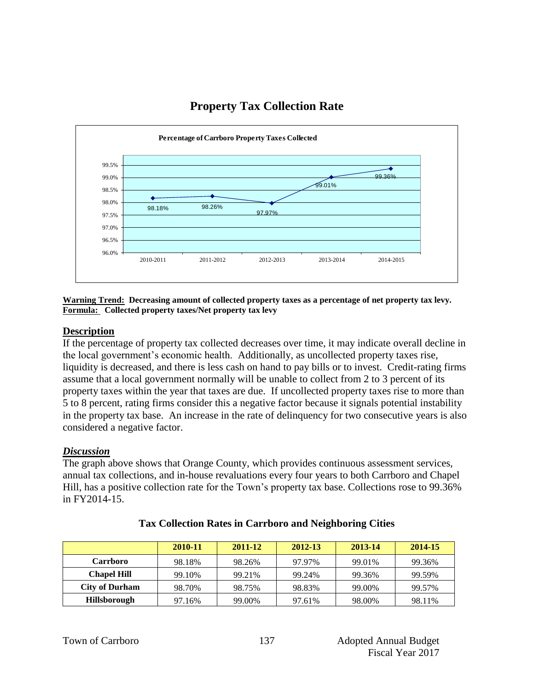## **Property Tax Collection Rate**



#### **Warning Trend: Decreasing amount of collected property taxes as a percentage of net property tax levy. Formula: Collected property taxes/Net property tax levy**

## **Description**

If the percentage of property tax collected decreases over time, it may indicate overall decline in the local government's economic health. Additionally, as uncollected property taxes rise, liquidity is decreased, and there is less cash on hand to pay bills or to invest. Credit-rating firms assume that a local government normally will be unable to collect from 2 to 3 percent of its property taxes within the year that taxes are due. If uncollected property taxes rise to more than 5 to 8 percent, rating firms consider this a negative factor because it signals potential instability in the property tax base. An increase in the rate of delinquency for two consecutive years is also considered a negative factor.

## *Discussion*

The graph above shows that Orange County, which provides continuous assessment services, annual tax collections, and in-house revaluations every four years to both Carrboro and Chapel Hill, has a positive collection rate for the Town's property tax base. Collections rose to 99.36% in FY2014-15.

|                       | 2010-11 | 2011-12 | 2012-13 | 2013-14 | 2014-15 |
|-----------------------|---------|---------|---------|---------|---------|
| <b>Carrboro</b>       | 98.18%  | 98.26%  | 97.97%  | 99.01%  | 99.36%  |
| <b>Chapel Hill</b>    | 99.10%  | 99.21%  | 99.24%  | 99.36%  | 99.59%  |
| <b>City of Durham</b> | 98.70%  | 98.75%  | 98.83%  | 99.00%  | 99.57%  |
| <b>Hillsborough</b>   | 97.16%  | 99.00%  | 97.61%  | 98.00%  | 98.11%  |

## **Tax Collection Rates in Carrboro and Neighboring Cities**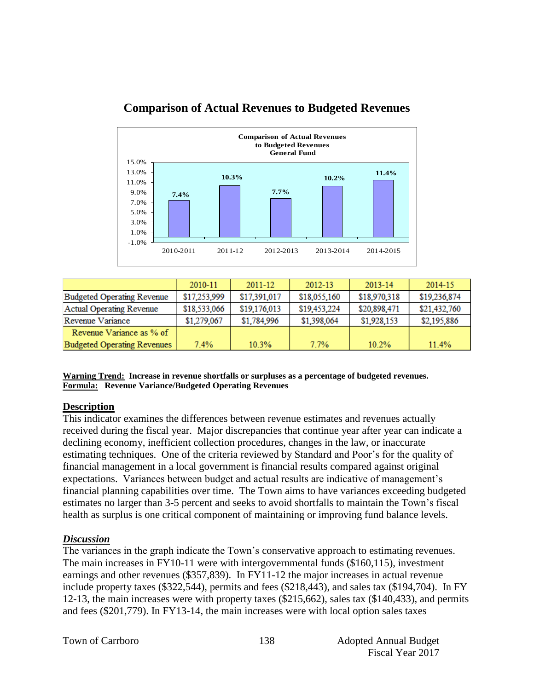

## **Comparison of Actual Revenues to Budgeted Revenues**

|                                    | 2010-11      | $2011 - 12$  | 2012-13      | 2013-14      | 2014-15      |
|------------------------------------|--------------|--------------|--------------|--------------|--------------|
| <b>Budgeted Operating Revenue</b>  | \$17,253,999 | \$17,391,017 | \$18,055,160 | \$18,970,318 | \$19,236,874 |
| Actual Operating Revenue           | \$18,533,066 | \$19,176,013 | \$19,453,224 | \$20,898,471 | \$21,432,760 |
| Revenue Variance                   | \$1,279,067  | \$1,784,996  | \$1,398,064  | \$1,928,153  | \$2,195,886  |
| Revenue Variance as % of           |              |              |              |              |              |
| <b>Budgeted Operating Revenues</b> | 7.4%         | 10.3%        | 7.7%         | 10.2%        | 11.4%        |

**Warning Trend: Increase in revenue shortfalls or surpluses as a percentage of budgeted revenues. Formula: Revenue Variance/Budgeted Operating Revenues**

## **Description**

This indicator examines the differences between revenue estimates and revenues actually received during the fiscal year. Major discrepancies that continue year after year can indicate a declining economy, inefficient collection procedures, changes in the law, or inaccurate estimating techniques. One of the criteria reviewed by Standard and Poor's for the quality of financial management in a local government is financial results compared against original expectations. Variances between budget and actual results are indicative of management's financial planning capabilities over time. The Town aims to have variances exceeding budgeted estimates no larger than 3-5 percent and seeks to avoid shortfalls to maintain the Town's fiscal health as surplus is one critical component of maintaining or improving fund balance levels.

## *Discussion*

The variances in the graph indicate the Town's conservative approach to estimating revenues. The main increases in FY10-11 were with intergovernmental funds (\$160,115), investment earnings and other revenues (\$357,839). In FY11-12 the major increases in actual revenue include property taxes (\$322,544), permits and fees (\$218,443), and sales tax (\$194,704). In FY 12-13, the main increases were with property taxes (\$215,662), sales tax (\$140,433), and permits and fees (\$201,779). In FY13-14, the main increases were with local option sales taxes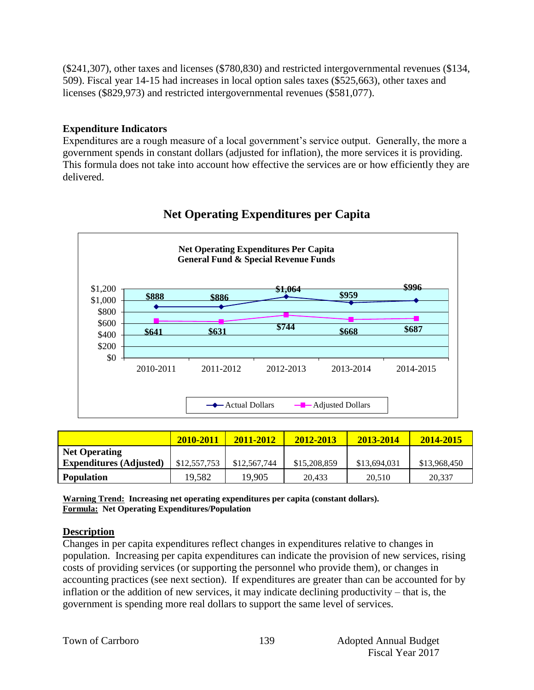(\$241,307), other taxes and licenses (\$780,830) and restricted intergovernmental revenues (\$134, 509). Fiscal year 14-15 had increases in local option sales taxes (\$525,663), other taxes and licenses (\$829,973) and restricted intergovernmental revenues (\$581,077).

## **Expenditure Indicators**

Expenditures are a rough measure of a local government's service output. Generally, the more a government spends in constant dollars (adjusted for inflation), the more services it is providing. This formula does not take into account how effective the services are or how efficiently they are delivered.



## **Net Operating Expenditures per Capita**

|                                | 2010-2011    | 2011-2012    | 2012-2013    | 2013-2014    | 2014-2015    |
|--------------------------------|--------------|--------------|--------------|--------------|--------------|
| <b>Net Operating</b>           |              |              |              |              |              |
| <b>Expenditures (Adjusted)</b> | \$12,557,753 | \$12,567,744 | \$15,208,859 | \$13,694,031 | \$13,968,450 |
| <b>Population</b>              | 19.582       | 19.905       | 20.433       | 20.510       | 20,337       |

**Warning Trend: Increasing net operating expenditures per capita (constant dollars). Formula: Net Operating Expenditures/Population**

## **Description**

Changes in per capita expenditures reflect changes in expenditures relative to changes in population. Increasing per capita expenditures can indicate the provision of new services, rising costs of providing services (or supporting the personnel who provide them), or changes in accounting practices (see next section). If expenditures are greater than can be accounted for by inflation or the addition of new services, it may indicate declining productivity – that is, the government is spending more real dollars to support the same level of services.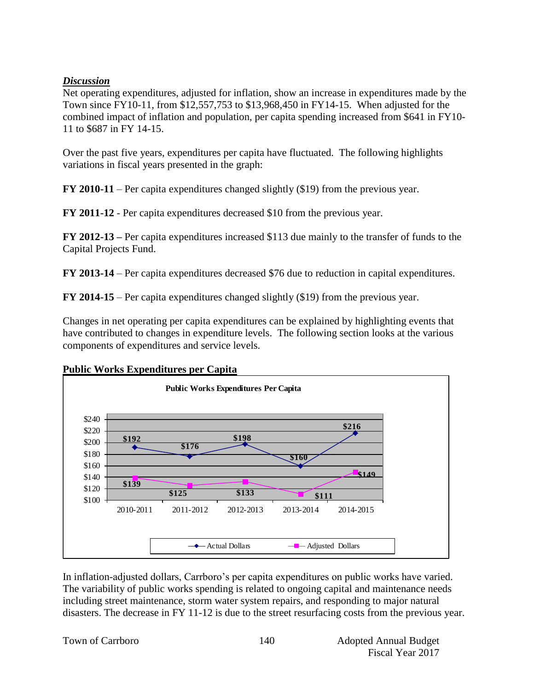## *Discussion*

Net operating expenditures, adjusted for inflation, show an increase in expenditures made by the Town since FY10-11, from \$12,557,753 to \$13,968,450 in FY14-15. When adjusted for the combined impact of inflation and population, per capita spending increased from \$641 in FY10- 11 to \$687 in FY 14-15.

Over the past five years, expenditures per capita have fluctuated. The following highlights variations in fiscal years presented in the graph:

**FY 2010-11** – Per capita expenditures changed slightly (\$19) from the previous year.

**FY 2011-12** - Per capita expenditures decreased \$10 from the previous year.

**FY 2012-13 –** Per capita expenditures increased \$113 due mainly to the transfer of funds to the Capital Projects Fund.

**FY 2013-14** – Per capita expenditures decreased \$76 due to reduction in capital expenditures.

**FY 2014-15** – Per capita expenditures changed slightly (\$19) from the previous year.

Changes in net operating per capita expenditures can be explained by highlighting events that have contributed to changes in expenditure levels. The following section looks at the various components of expenditures and service levels.



## **Public Works Expenditures per Capita**

In inflation-adjusted dollars, Carrboro's per capita expenditures on public works have varied. The variability of public works spending is related to ongoing capital and maintenance needs including street maintenance, storm water system repairs, and responding to major natural disasters. The decrease in FY 11-12 is due to the street resurfacing costs from the previous year.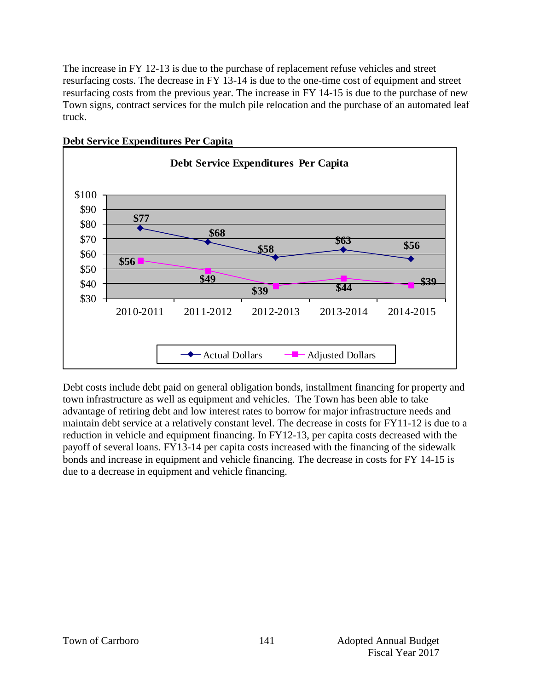The increase in FY 12-13 is due to the purchase of replacement refuse vehicles and street resurfacing costs. The decrease in FY 13-14 is due to the one-time cost of equipment and street resurfacing costs from the previous year. The increase in FY 14-15 is due to the purchase of new Town signs, contract services for the mulch pile relocation and the purchase of an automated leaf truck.



### **Debt Service Expenditures Per Capita**

Debt costs include debt paid on general obligation bonds, installment financing for property and town infrastructure as well as equipment and vehicles. The Town has been able to take advantage of retiring debt and low interest rates to borrow for major infrastructure needs and maintain debt service at a relatively constant level. The decrease in costs for FY11-12 is due to a reduction in vehicle and equipment financing. In FY12-13, per capita costs decreased with the payoff of several loans. FY13-14 per capita costs increased with the financing of the sidewalk bonds and increase in equipment and vehicle financing. The decrease in costs for FY 14-15 is due to a decrease in equipment and vehicle financing.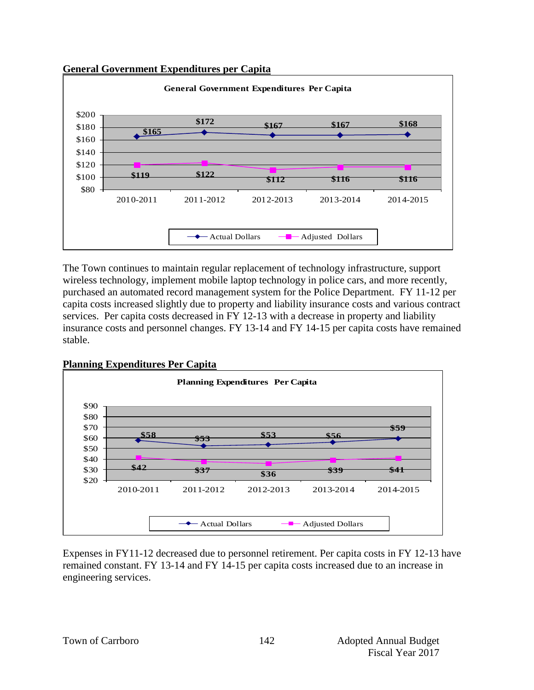



The Town continues to maintain regular replacement of technology infrastructure, support wireless technology, implement mobile laptop technology in police cars, and more recently, purchased an automated record management system for the Police Department. FY 11-12 per capita costs increased slightly due to property and liability insurance costs and various contract services. Per capita costs decreased in FY 12-13 with a decrease in property and liability insurance costs and personnel changes. FY 13-14 and FY 14-15 per capita costs have remained stable.



Expenses in FY11-12 decreased due to personnel retirement. Per capita costs in FY 12-13 have remained constant. FY 13-14 and FY 14-15 per capita costs increased due to an increase in engineering services.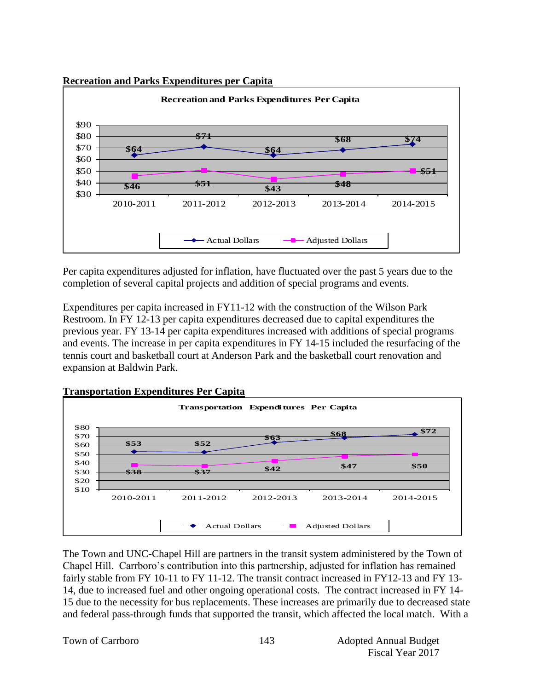### **Recreation and Parks Expenditures per Capita**



Per capita expenditures adjusted for inflation, have fluctuated over the past 5 years due to the completion of several capital projects and addition of special programs and events.

Expenditures per capita increased in FY11-12 with the construction of the Wilson Park Restroom. In FY 12-13 per capita expenditures decreased due to capital expenditures the previous year. FY 13-14 per capita expenditures increased with additions of special programs and events. The increase in per capita expenditures in FY 14-15 included the resurfacing of the tennis court and basketball court at Anderson Park and the basketball court renovation and expansion at Baldwin Park.



The Town and UNC-Chapel Hill are partners in the transit system administered by the Town of Chapel Hill. Carrboro's contribution into this partnership, adjusted for inflation has remained fairly stable from FY 10-11 to FY 11-12. The transit contract increased in FY12-13 and FY 13- 14, due to increased fuel and other ongoing operational costs. The contract increased in FY 14- 15 due to the necessity for bus replacements. These increases are primarily due to decreased state and federal pass-through funds that supported the transit, which affected the local match. With a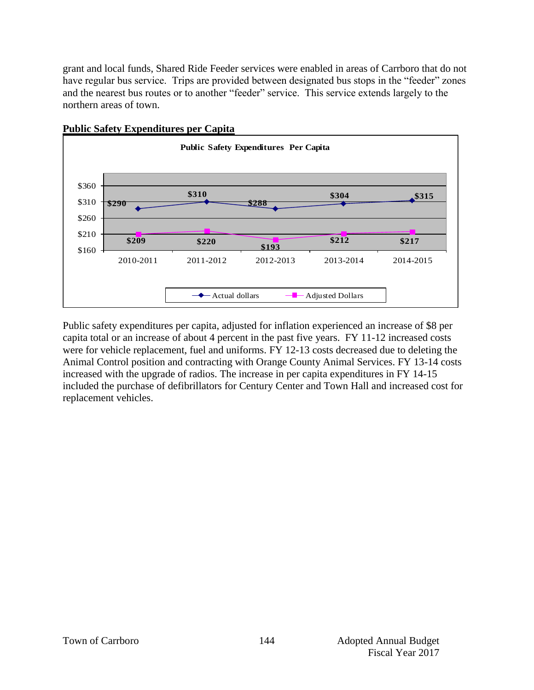grant and local funds, Shared Ride Feeder services were enabled in areas of Carrboro that do not have regular bus service. Trips are provided between designated bus stops in the "feeder" zones and the nearest bus routes or to another "feeder" service. This service extends largely to the northern areas of town.



### **Public Safety Expenditures per Capita**

Public safety expenditures per capita, adjusted for inflation experienced an increase of \$8 per capita total or an increase of about 4 percent in the past five years. FY 11-12 increased costs were for vehicle replacement, fuel and uniforms. FY 12-13 costs decreased due to deleting the Animal Control position and contracting with Orange County Animal Services. FY 13-14 costs increased with the upgrade of radios. The increase in per capita expenditures in FY 14-15 included the purchase of defibrillators for Century Center and Town Hall and increased cost for replacement vehicles.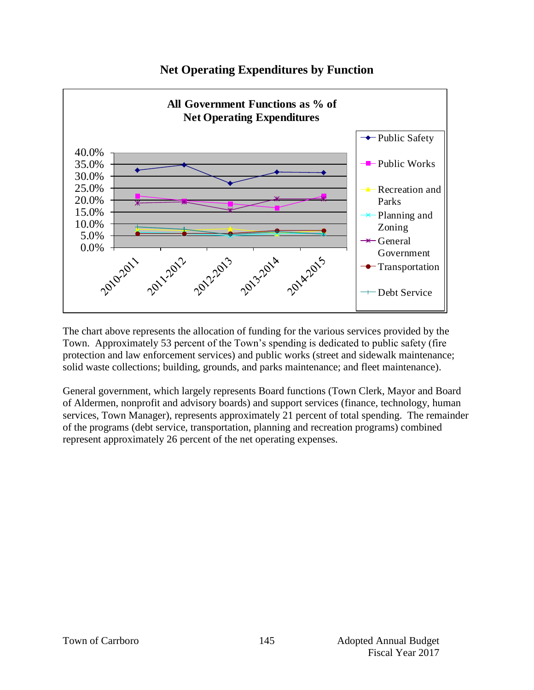#### **All Government Functions as % of Net Operating Expenditures** ← Public Safety 40.0% Public Works 35.0% 30.0% 25.0% Recreation and 20.0% Parks 15.0% Planning and 10.0% Zoning 5.0%  $\leftarrow$  General **20142015** 0.0% Government 2010-2011 2011-2012 2012-2013 2013-2014 Transportation Debt Service

## **Net Operating Expenditures by Function**

The chart above represents the allocation of funding for the various services provided by the Town. Approximately 53 percent of the Town's spending is dedicated to public safety (fire protection and law enforcement services) and public works (street and sidewalk maintenance; solid waste collections; building, grounds, and parks maintenance; and fleet maintenance).

General government, which largely represents Board functions (Town Clerk, Mayor and Board of Aldermen, nonprofit and advisory boards) and support services (finance, technology, human services, Town Manager), represents approximately 21 percent of total spending. The remainder of the programs (debt service, transportation, planning and recreation programs) combined represent approximately 26 percent of the net operating expenses.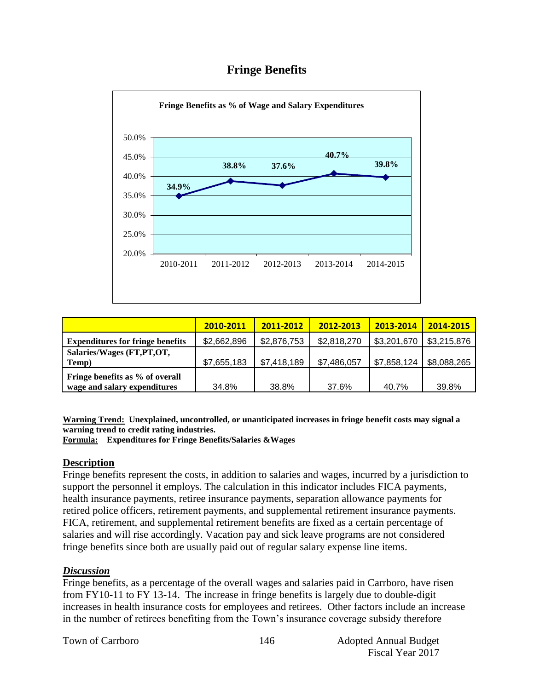## **Fringe Benefits**



|                                         | 2010-2011   | 2011-2012   | 2012-2013   | 2013-2014   | 2014-2015   |
|-----------------------------------------|-------------|-------------|-------------|-------------|-------------|
| <b>Expenditures for fringe benefits</b> | \$2,662,896 | \$2,876,753 | \$2,818,270 | \$3,201,670 | \$3,215,876 |
| Salaries/Wages (FT, PT, OT,             |             |             |             |             |             |
| Temp)                                   | \$7,655,183 | \$7,418,189 | \$7,486,057 | \$7,858,124 | \$8,088,265 |
| Fringe benefits as % of overall         |             |             |             |             |             |
| wage and salary expenditures            | 34.8%       | 38.8%       | 37.6%       | 40.7%       | 39.8%       |

**Warning Trend: Unexplained, uncontrolled, or unanticipated increases in fringe benefit costs may signal a warning trend to credit rating industries.**

**Formula: Expenditures for Fringe Benefits/Salaries &Wages** 

#### **Description**

Fringe benefits represent the costs, in addition to salaries and wages, incurred by a jurisdiction to support the personnel it employs. The calculation in this indicator includes FICA payments, health insurance payments, retiree insurance payments, separation allowance payments for retired police officers, retirement payments, and supplemental retirement insurance payments. FICA, retirement, and supplemental retirement benefits are fixed as a certain percentage of salaries and will rise accordingly. Vacation pay and sick leave programs are not considered fringe benefits since both are usually paid out of regular salary expense line items.

#### *Discussion*

Fringe benefits, as a percentage of the overall wages and salaries paid in Carrboro, have risen from FY10-11 to FY 13-14. The increase in fringe benefits is largely due to double-digit increases in health insurance costs for employees and retirees. Other factors include an increase in the number of retirees benefiting from the Town's insurance coverage subsidy therefore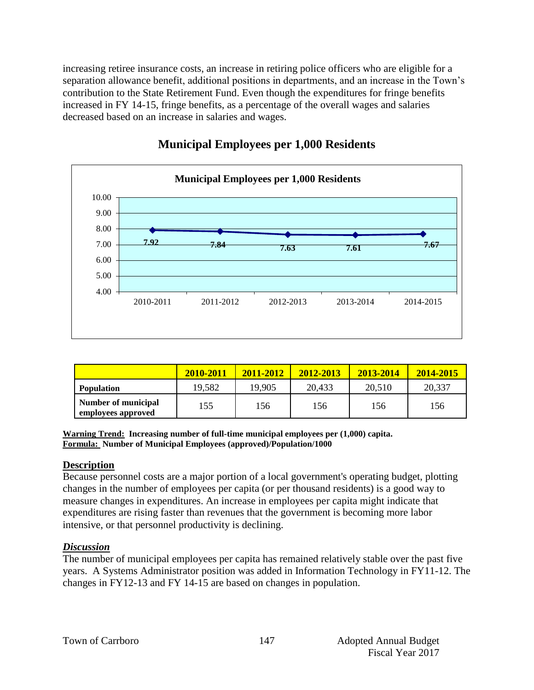increasing retiree insurance costs, an increase in retiring police officers who are eligible for a separation allowance benefit, additional positions in departments, and an increase in the Town's contribution to the State Retirement Fund. Even though the expenditures for fringe benefits increased in FY 14-15, fringe benefits, as a percentage of the overall wages and salaries decreased based on an increase in salaries and wages.



## **Municipal Employees per 1,000 Residents**

|                                           | 2010-2011 | 2011-2012 | 2012-2013 | 2013-2014 | 2014-2015 |
|-------------------------------------------|-----------|-----------|-----------|-----------|-----------|
| <b>Population</b>                         | 19,582    | 19,905    | 20,433    | 20,510    | 20,337    |
| Number of municipal<br>employees approved | 155       | 156       | 156       | 156       | 156       |

**Warning Trend: Increasing number of full-time municipal employees per (1,000) capita. Formula: Number of Municipal Employees (approved)/Population/1000**

## **Description**

Because personnel costs are a major portion of a local government's operating budget, plotting changes in the number of employees per capita (or per thousand residents) is a good way to measure changes in expenditures. An increase in employees per capita might indicate that expenditures are rising faster than revenues that the government is becoming more labor intensive, or that personnel productivity is declining.

## *Discussion*

The number of municipal employees per capita has remained relatively stable over the past five years. A Systems Administrator position was added in Information Technology in FY11-12. The changes in FY12-13 and FY 14-15 are based on changes in population.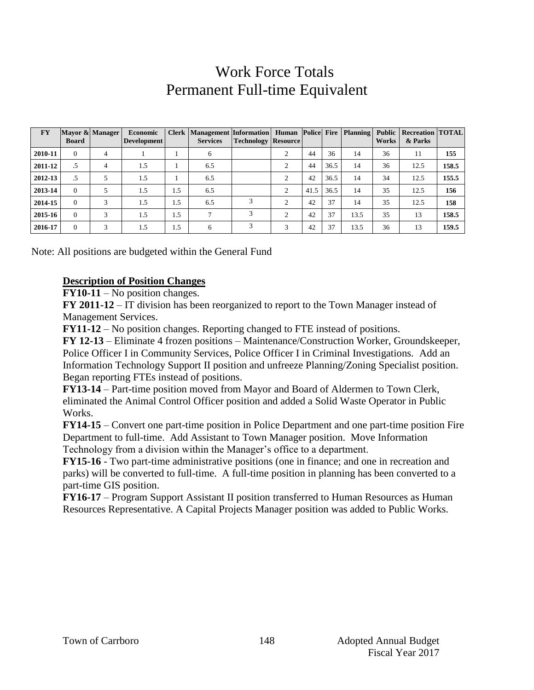## Work Force Totals Permanent Full-time Equivalent

| <b>FY</b> | <b>Board</b> | Mayor & Manager | Economic<br><b>Development</b> |     | Clerk   Management   Information   Human   Police   Fire   Planning  <br><b>Services</b> | <b>Technology Resource</b> |                |      |      |      | <b>Public</b><br><b>Works</b> | <b>Recreation TOTAL</b><br>& Parks |       |
|-----------|--------------|-----------------|--------------------------------|-----|------------------------------------------------------------------------------------------|----------------------------|----------------|------|------|------|-------------------------------|------------------------------------|-------|
| 2010-11   | $\Omega$     | 4               |                                |     | 6                                                                                        |                            | 2              | 44   | 36   | 14   | 36                            | 11                                 | 155   |
| 2011-12   | .5           | 4               | 1.5                            |     | 6.5                                                                                      |                            | $\overline{2}$ | 44   | 36.5 | 14   | 36                            | 12.5                               | 158.5 |
| 2012-13   | .5           |                 | 1.5                            |     | 6.5                                                                                      |                            | 2              | 42   | 36.5 | 14   | 34                            | 12.5                               | 155.5 |
| 2013-14   | $\Omega$     |                 | 1.5                            | 1.5 | 6.5                                                                                      |                            | 2              | 41.5 | 36.5 | 14   | 35                            | 12.5                               | 156   |
| 2014-15   | $\Omega$     | 3               | 1.5                            | 1.5 | 6.5                                                                                      | 3                          | $\overline{2}$ | 42   | 37   | 14   | 35                            | 12.5                               | 158   |
| 2015-16   | $\Omega$     | 3               | 1.5                            | 1.5 | $\mathcal{L}$                                                                            | 3                          | $\overline{c}$ | 42   | 37   | 13.5 | 35                            | 13                                 | 158.5 |
| 2016-17   | $\Omega$     | 3               | 1.5                            | 1.5 | 6                                                                                        | 3                          | 3              | 42   | 37   | 13.5 | 36                            | 13                                 | 159.5 |

Note: All positions are budgeted within the General Fund

#### **Description of Position Changes**

**FY10-11** – No position changes.

**FY 2011-12** – IT division has been reorganized to report to the Town Manager instead of Management Services.

**FY11-12** – No position changes. Reporting changed to FTE instead of positions.

**FY 12-13** – Eliminate 4 frozen positions – Maintenance/Construction Worker, Groundskeeper, Police Officer I in Community Services, Police Officer I in Criminal Investigations. Add an Information Technology Support II position and unfreeze Planning/Zoning Specialist position. Began reporting FTEs instead of positions.

**FY13-14** – Part-time position moved from Mayor and Board of Aldermen to Town Clerk, eliminated the Animal Control Officer position and added a Solid Waste Operator in Public Works.

**FY14-15** – Convert one part-time position in Police Department and one part-time position Fire Department to full-time. Add Assistant to Town Manager position. Move Information Technology from a division within the Manager's office to a department.

**FY15-16** - Two part-time administrative positions (one in finance; and one in recreation and parks) will be converted to full-time. A full-time position in planning has been converted to a part-time GIS position.

**FY16-17** – Program Support Assistant II position transferred to Human Resources as Human Resources Representative. A Capital Projects Manager position was added to Public Works.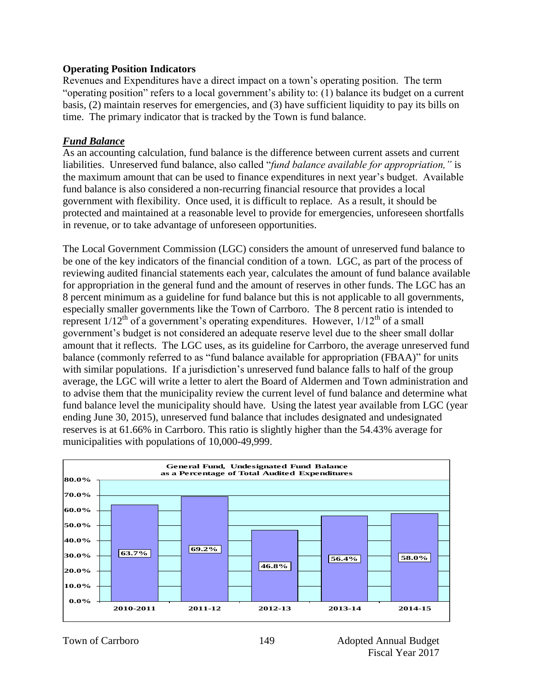#### **Operating Position Indicators**

Revenues and Expenditures have a direct impact on a town's operating position. The term "operating position" refers to a local government's ability to: (1) balance its budget on a current basis, (2) maintain reserves for emergencies, and (3) have sufficient liquidity to pay its bills on time. The primary indicator that is tracked by the Town is fund balance.

### *Fund Balance*

As an accounting calculation, fund balance is the difference between current assets and current liabilities. Unreserved fund balance, also called "*fund balance available for appropriation,"* is the maximum amount that can be used to finance expenditures in next year's budget. Available fund balance is also considered a non-recurring financial resource that provides a local government with flexibility. Once used, it is difficult to replace. As a result, it should be protected and maintained at a reasonable level to provide for emergencies, unforeseen shortfalls in revenue, or to take advantage of unforeseen opportunities.

The Local Government Commission (LGC) considers the amount of unreserved fund balance to be one of the key indicators of the financial condition of a town. LGC, as part of the process of reviewing audited financial statements each year, calculates the amount of fund balance available for appropriation in the general fund and the amount of reserves in other funds. The LGC has an 8 percent minimum as a guideline for fund balance but this is not applicable to all governments, especially smaller governments like the Town of Carrboro. The 8 percent ratio is intended to represent  $1/12^{th}$  of a government's operating expenditures. However,  $1/12^{th}$  of a small government's budget is not considered an adequate reserve level due to the sheer small dollar amount that it reflects. The LGC uses, as its guideline for Carrboro, the average unreserved fund balance (commonly referred to as "fund balance available for appropriation (FBAA)" for units with similar populations. If a jurisdiction's unreserved fund balance falls to half of the group average, the LGC will write a letter to alert the Board of Aldermen and Town administration and to advise them that the municipality review the current level of fund balance and determine what fund balance level the municipality should have. Using the latest year available from LGC (year ending June 30, 2015), unreserved fund balance that includes designated and undesignated reserves is at 61.66% in Carrboro. This ratio is slightly higher than the 54.43% average for municipalities with populations of 10,000-49,999.

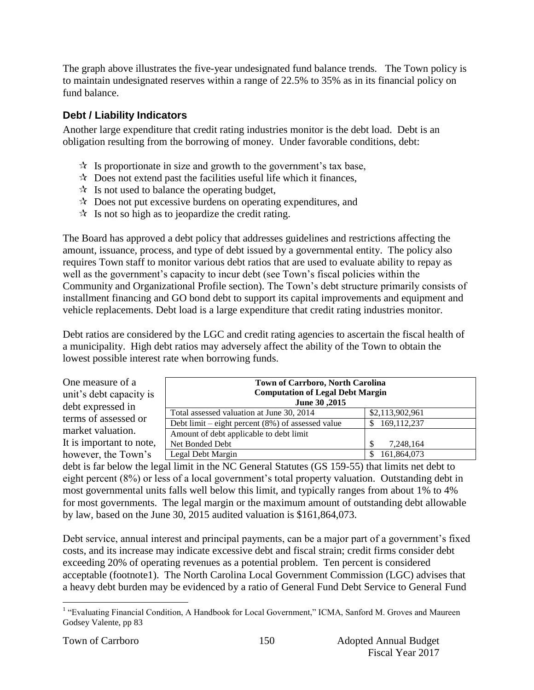The graph above illustrates the five-year undesignated fund balance trends. The Town policy is to maintain undesignated reserves within a range of 22.5% to 35% as in its financial policy on fund balance.

## **Debt / Liability Indicators**

Another large expenditure that credit rating industries monitor is the debt load. Debt is an obligation resulting from the borrowing of money. Under favorable conditions, debt:

- $\mathcal{R}$  Is proportionate in size and growth to the government's tax base,
- $\star$  Does not extend past the facilities useful life which it finances,
- $\mathcal{R}$  Is not used to balance the operating budget,
- $\lambda$  Does not put excessive burdens on operating expenditures, and
- $\mathcal{R}$  Is not so high as to jeopardize the credit rating.

The Board has approved a debt policy that addresses guidelines and restrictions affecting the amount, issuance, process, and type of debt issued by a governmental entity. The policy also requires Town staff to monitor various debt ratios that are used to evaluate ability to repay as well as the government's capacity to incur debt (see Town's fiscal policies within the Community and Organizational Profile section). The Town's debt structure primarily consists of installment financing and GO bond debt to support its capital improvements and equipment and vehicle replacements. Debt load is a large expenditure that credit rating industries monitor.

Debt ratios are considered by the LGC and credit rating agencies to ascertain the fiscal health of a municipality. High debt ratios may adversely affect the ability of the Town to obtain the lowest possible interest rate when borrowing funds.

| One measure of a<br>unit's debt capacity is<br>debt expressed in | June 30, 2015                                        | <b>Town of Carrboro, North Carolina</b><br><b>Computation of Legal Debt Margin</b> |  |  |  |  |
|------------------------------------------------------------------|------------------------------------------------------|------------------------------------------------------------------------------------|--|--|--|--|
| terms of assessed or                                             | Total assessed valuation at June 30, 2014            | \$2,113,902,961                                                                    |  |  |  |  |
|                                                                  | Debt limit – eight percent $(8\%)$ of assessed value | \$169,112,237                                                                      |  |  |  |  |
| market valuation.                                                | Amount of debt applicable to debt limit              |                                                                                    |  |  |  |  |
| It is important to note,                                         | Net Bonded Debt                                      | 7,248,164                                                                          |  |  |  |  |
| however, the Town's                                              | Legal Debt Margin                                    | 161,864,073                                                                        |  |  |  |  |

debt is far below the legal limit in the NC General Statutes (GS 159-55) that limits net debt to eight percent (8%) or less of a local government's total property valuation. Outstanding debt in most governmental units falls well below this limit, and typically ranges from about 1% to 4% for most governments. The legal margin or the maximum amount of outstanding debt allowable by law, based on the June 30, 2015 audited valuation is \$161,864,073.

Debt service, annual interest and principal payments, can be a major part of a government's fixed costs, and its increase may indicate excessive debt and fiscal strain; credit firms consider debt exceeding 20% of operating revenues as a potential problem. Ten percent is considered acceptable (footnote1). The North Carolina Local Government Commission (LGC) advises that a heavy debt burden may be evidenced by a ratio of General Fund Debt Service to General Fund

 1 "Evaluating Financial Condition, A Handbook for Local Government," ICMA, Sanford M. Groves and Maureen Godsey Valente, pp 83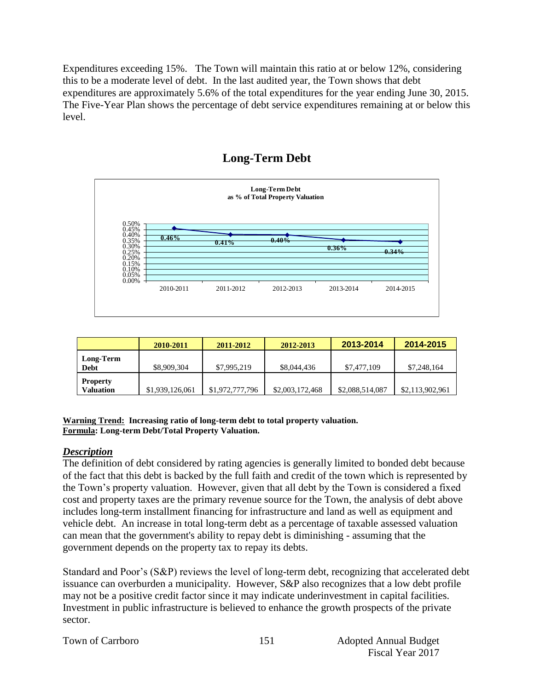Expenditures exceeding 15%. The Town will maintain this ratio at or below 12%, considering this to be a moderate level of debt. In the last audited year, the Town shows that debt expenditures are approximately 5.6% of the total expenditures for the year ending June 30, 2015. The Five-Year Plan shows the percentage of debt service expenditures remaining at or below this level.



## **Long-Term Debt**

|                                     | 2010-2011       | 2011-2012       | 2012-2013       | 2013-2014       | 2014-2015       |
|-------------------------------------|-----------------|-----------------|-----------------|-----------------|-----------------|
| Long-Term<br>Debt                   | \$8,909,304     | \$7,995,219     | \$8,044,436     | \$7,477,109     | \$7,248,164     |
| <b>Property</b><br><b>Valuation</b> | \$1,939,126,061 | \$1,972,777,796 | \$2,003,172,468 | \$2,088,514,087 | \$2,113,902,961 |

#### **Warning Trend: Increasing ratio of long-term debt to total property valuation. Formula: Long-term Debt/Total Property Valuation.**

## *Description*

The definition of debt considered by rating agencies is generally limited to bonded debt because of the fact that this debt is backed by the full faith and credit of the town which is represented by the Town's property valuation. However, given that all debt by the Town is considered a fixed cost and property taxes are the primary revenue source for the Town, the analysis of debt above includes long-term installment financing for infrastructure and land as well as equipment and vehicle debt. An increase in total long-term debt as a percentage of taxable assessed valuation can mean that the government's ability to repay debt is diminishing - assuming that the government depends on the property tax to repay its debts.

Standard and Poor's (S&P) reviews the level of long-term debt, recognizing that accelerated debt issuance can overburden a municipality. However, S&P also recognizes that a low debt profile may not be a positive credit factor since it may indicate underinvestment in capital facilities. Investment in public infrastructure is believed to enhance the growth prospects of the private sector.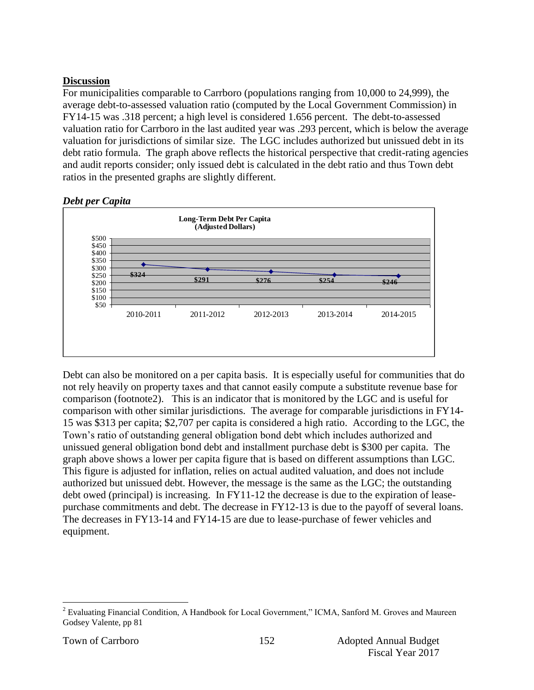## **Discussion**

For municipalities comparable to Carrboro (populations ranging from 10,000 to 24,999), the average debt-to-assessed valuation ratio (computed by the Local Government Commission) in FY14-15 was .318 percent; a high level is considered 1.656 percent. The debt-to-assessed valuation ratio for Carrboro in the last audited year was .293 percent, which is below the average valuation for jurisdictions of similar size. The LGC includes authorized but unissued debt in its debt ratio formula. The graph above reflects the historical perspective that credit-rating agencies and audit reports consider; only issued debt is calculated in the debt ratio and thus Town debt ratios in the presented graphs are slightly different.



## *Debt per Capita*

Debt can also be monitored on a per capita basis. It is especially useful for communities that do not rely heavily on property taxes and that cannot easily compute a substitute revenue base for comparison (footnote2). This is an indicator that is monitored by the LGC and is useful for comparison with other similar jurisdictions. The average for comparable jurisdictions in FY14- 15 was \$313 per capita; \$2,707 per capita is considered a high ratio. According to the LGC, the Town's ratio of outstanding general obligation bond debt which includes authorized and unissued general obligation bond debt and installment purchase debt is \$300 per capita. The graph above shows a lower per capita figure that is based on different assumptions than LGC. This figure is adjusted for inflation, relies on actual audited valuation, and does not include authorized but unissued debt. However, the message is the same as the LGC; the outstanding debt owed (principal) is increasing. In FY11-12 the decrease is due to the expiration of leasepurchase commitments and debt. The decrease in FY12-13 is due to the payoff of several loans. The decreases in FY13-14 and FY14-15 are due to lease-purchase of fewer vehicles and equipment.

 $\overline{a}$ <sup>2</sup> Evaluating Financial Condition, A Handbook for Local Government," ICMA, Sanford M. Groves and Maureen Godsey Valente, pp 81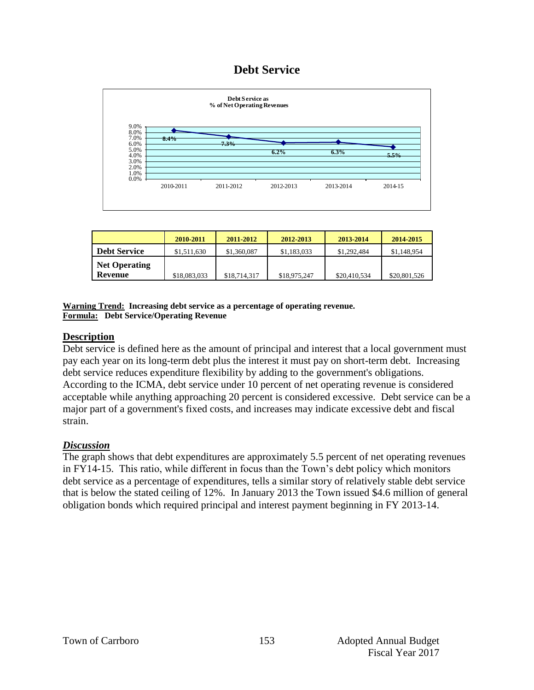## **Debt Service**



|                                        | 2010-2011    | $2011 - 2012$ | 2012-2013    | 2013-2014    | 2014-2015    |
|----------------------------------------|--------------|---------------|--------------|--------------|--------------|
| <b>Debt Service</b>                    | \$1,511,630  | \$1,360,087   | \$1,183,033  | \$1,292,484  | \$1,148,954  |
| <b>Net Operating</b><br><b>Revenue</b> | \$18,083,033 | \$18,714,317  | \$18,975,247 | \$20,410,534 | \$20,801,526 |

**Warning Trend: Increasing debt service as a percentage of operating revenue. Formula: Debt Service/Operating Revenue**

## **Description**

Debt service is defined here as the amount of principal and interest that a local government must pay each year on its long-term debt plus the interest it must pay on short-term debt. Increasing debt service reduces expenditure flexibility by adding to the government's obligations. According to the ICMA, debt service under 10 percent of net operating revenue is considered acceptable while anything approaching 20 percent is considered excessive. Debt service can be a major part of a government's fixed costs, and increases may indicate excessive debt and fiscal strain.

## *Discussion*

The graph shows that debt expenditures are approximately 5.5 percent of net operating revenues in FY14-15. This ratio, while different in focus than the Town's debt policy which monitors debt service as a percentage of expenditures, tells a similar story of relatively stable debt service that is below the stated ceiling of 12%. In January 2013 the Town issued \$4.6 million of general obligation bonds which required principal and interest payment beginning in FY 2013-14.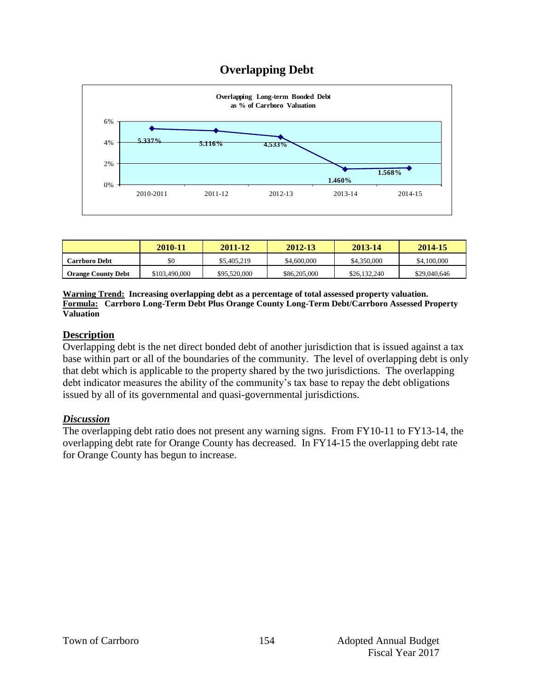

|                           | 2010-11       | 2011-12      | 2012-13      | 2013-14      | 2014-15      |
|---------------------------|---------------|--------------|--------------|--------------|--------------|
| <b>Carrboro Debt</b>      | \$0           | \$5,405,219  | \$4,600,000  | \$4,350,000  | \$4,100,000  |
| <b>Orange County Debt</b> | \$103,490,000 | \$95,520,000 | \$86,205,000 | \$26,132,240 | \$29,040,646 |

**Warning Trend: Increasing overlapping debt as a percentage of total assessed property valuation. Formula: Carrboro Long-Term Debt Plus Orange County Long-Term Debt/Carrboro Assessed Property Valuation**

## **Description**

Overlapping debt is the net direct bonded debt of another jurisdiction that is issued against a tax base within part or all of the boundaries of the community. The level of overlapping debt is only that debt which is applicable to the property shared by the two jurisdictions. The overlapping debt indicator measures the ability of the community's tax base to repay the debt obligations issued by all of its governmental and quasi-governmental jurisdictions.

#### *Discussion*

The overlapping debt ratio does not present any warning signs. From FY10-11 to FY13-14, the overlapping debt rate for Orange County has decreased. In FY14-15 the overlapping debt rate for Orange County has begun to increase.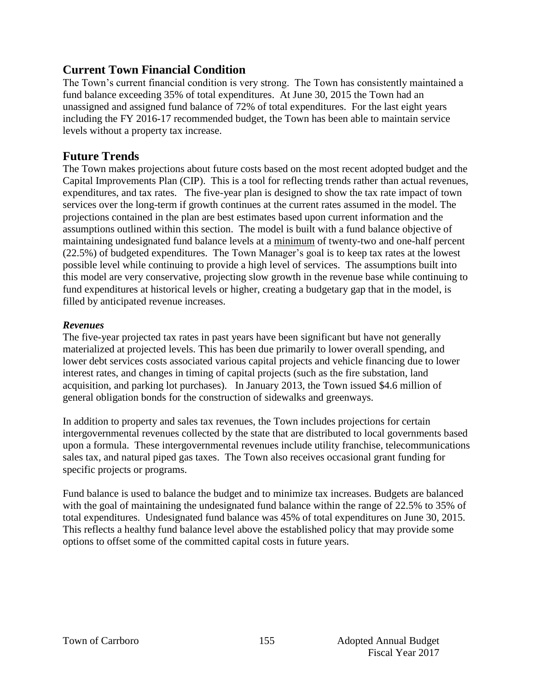## **Current Town Financial Condition**

The Town's current financial condition is very strong. The Town has consistently maintained a fund balance exceeding 35% of total expenditures. At June 30, 2015 the Town had an unassigned and assigned fund balance of 72% of total expenditures. For the last eight years including the FY 2016-17 recommended budget, the Town has been able to maintain service levels without a property tax increase.

## **Future Trends**

The Town makes projections about future costs based on the most recent adopted budget and the Capital Improvements Plan (CIP). This is a tool for reflecting trends rather than actual revenues, expenditures, and tax rates. The five-year plan is designed to show the tax rate impact of town services over the long-term if growth continues at the current rates assumed in the model. The projections contained in the plan are best estimates based upon current information and the assumptions outlined within this section. The model is built with a fund balance objective of maintaining undesignated fund balance levels at a minimum of twenty-two and one-half percent (22.5%) of budgeted expenditures. The Town Manager's goal is to keep tax rates at the lowest possible level while continuing to provide a high level of services. The assumptions built into this model are very conservative, projecting slow growth in the revenue base while continuing to fund expenditures at historical levels or higher, creating a budgetary gap that in the model, is filled by anticipated revenue increases.

## *Revenues*

The five-year projected tax rates in past years have been significant but have not generally materialized at projected levels. This has been due primarily to lower overall spending, and lower debt services costs associated various capital projects and vehicle financing due to lower interest rates, and changes in timing of capital projects (such as the fire substation, land acquisition, and parking lot purchases). In January 2013, the Town issued \$4.6 million of general obligation bonds for the construction of sidewalks and greenways.

In addition to property and sales tax revenues, the Town includes projections for certain intergovernmental revenues collected by the state that are distributed to local governments based upon a formula. These intergovernmental revenues include utility franchise, telecommunications sales tax, and natural piped gas taxes. The Town also receives occasional grant funding for specific projects or programs.

Fund balance is used to balance the budget and to minimize tax increases. Budgets are balanced with the goal of maintaining the undesignated fund balance within the range of 22.5% to 35% of total expenditures. Undesignated fund balance was 45% of total expenditures on June 30, 2015. This reflects a healthy fund balance level above the established policy that may provide some options to offset some of the committed capital costs in future years.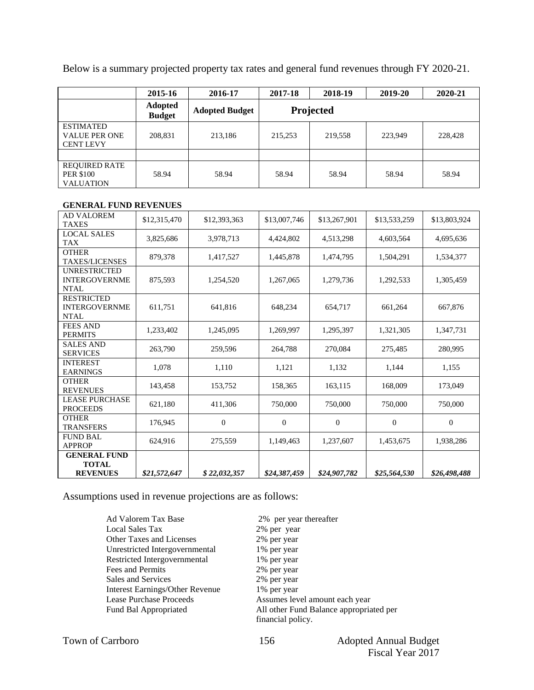Below is a summary projected property tax rates and general fund revenues through FY 2020-21.

|                                                              | 2015-16                         | 2016-17               | 2017-18   | 2018-19 | 2019-20 | 2020-21 |
|--------------------------------------------------------------|---------------------------------|-----------------------|-----------|---------|---------|---------|
|                                                              | <b>Adopted</b><br><b>Budget</b> | <b>Adopted Budget</b> | Projected |         |         |         |
| <b>ESTIMATED</b><br><b>VALUE PER ONE</b><br><b>CENT LEVY</b> | 208,831                         | 213,186               | 215,253   | 219,558 | 223,949 | 228,428 |
|                                                              |                                 |                       |           |         |         |         |
| <b>REQUIRED RATE</b><br><b>PER \$100</b><br><b>VALUATION</b> | 58.94                           | 58.94                 | 58.94     | 58.94   | 58.94   | 58.94   |

#### **GENERAL FUND REVENUES**

| <b>AD VALOREM</b><br><b>TAXES</b>                        | \$12,315,470 | \$12,393,363     | \$13,007,746   | \$13,267,901   | \$13,533,259 | \$13,803,924 |
|----------------------------------------------------------|--------------|------------------|----------------|----------------|--------------|--------------|
| <b>LOCAL SALES</b><br><b>TAX</b>                         | 3,825,686    | 3,978,713        | 4,424,802      | 4,513,298      | 4,603,564    | 4,695,636    |
| <b>OTHER</b><br><b>TAXES/LICENSES</b>                    | 879,378      | 1,417,527        | 1,445,878      | 1,474,795      | 1,504,291    | 1,534,377    |
| <b>UNRESTRICTED</b><br><b>INTERGOVERNME</b><br>NTAL      | 875,593      | 1.254.520        | 1,267,065      | 1,279,736      | 1.292.533    | 1,305,459    |
| <b>RESTRICTED</b><br><b>INTERGOVERNME</b><br><b>NTAL</b> | 611,751      | 641,816          | 648,234        | 654,717        | 661,264      | 667,876      |
| <b>FEES AND</b><br><b>PERMITS</b>                        | 1,233,402    | 1,245,095        | 1,269,997      | 1,295,397      | 1,321,305    | 1,347,731    |
| <b>SALES AND</b><br><b>SERVICES</b>                      | 263,790      | 259.596          | 264.788        | 270,084        | 275,485      | 280,995      |
| <b>INTEREST</b><br><b>EARNINGS</b>                       | 1,078        | 1,110            | 1,121          | 1,132          | 1,144        | 1,155        |
| <b>OTHER</b><br><b>REVENUES</b>                          | 143,458      | 153,752          | 158,365        | 163,115        | 168,009      | 173,049      |
| <b>LEASE PURCHASE</b><br><b>PROCEEDS</b>                 | 621,180      | 411,306          | 750,000        | 750,000        | 750,000      | 750,000      |
| <b>OTHER</b><br><b>TRANSFERS</b>                         | 176,945      | $\boldsymbol{0}$ | $\overline{0}$ | $\overline{0}$ | $\mathbf{0}$ | $\theta$     |
| <b>FUND BAL</b><br><b>APPROP</b>                         | 624,916      | 275,559          | 1,149,463      | 1,237,607      | 1,453,675    | 1,938,286    |
| <b>GENERAL FUND</b><br><b>TOTAL</b><br><b>REVENUES</b>   | \$21,572,647 | \$22,032,357     | \$24,387,459   | \$24,907,782   | \$25,564,530 | \$26,498,488 |

Assumptions used in revenue projections are as follows:

Ad Valorem Tax Base 2% per year thereafter Local Sales Tax 2% per year Other Taxes and Licenses 2% per year<br>Unrestricted Intergovernmental 1% per year Unrestricted Intergovernmental Restricted Intergovernmental 1% per year Fees and Permits 2% per year Sales and Services 2% per year Interest Earnings/Other Revenue 1% per year Lease Purchase Proceeds Assumes level amount each year Fund Bal Appropriated All other Fund Balance appropriated per

financial policy.

| <b>Town of Carrboro</b> |  |
|-------------------------|--|
|-------------------------|--|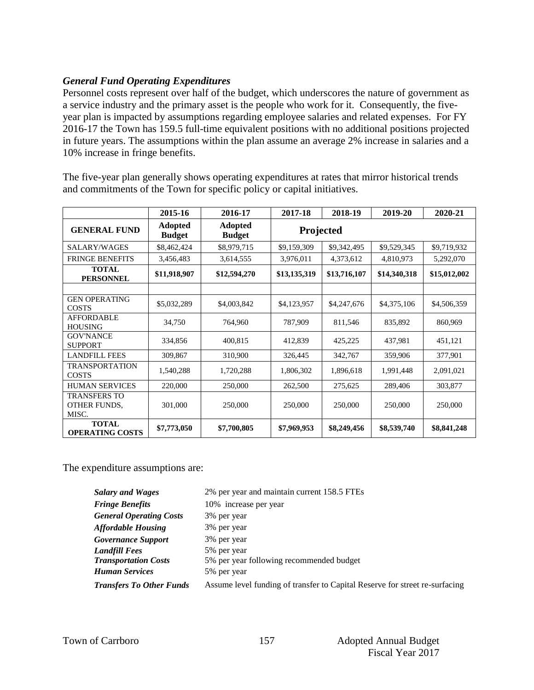## *General Fund Operating Expenditures*

Personnel costs represent over half of the budget, which underscores the nature of government as a service industry and the primary asset is the people who work for it. Consequently, the fiveyear plan is impacted by assumptions regarding employee salaries and related expenses. For FY 2016-17 the Town has 159.5 full-time equivalent positions with no additional positions projected in future years. The assumptions within the plan assume an average 2% increase in salaries and a 10% increase in fringe benefits.

|                                              | 2015-16                         | 2016-17                         | 2017-18      | 2018-19      | 2019-20      | 2020-21      |
|----------------------------------------------|---------------------------------|---------------------------------|--------------|--------------|--------------|--------------|
| <b>GENERAL FUND</b>                          | <b>Adopted</b><br><b>Budget</b> | <b>Adopted</b><br><b>Budget</b> |              | Projected    |              |              |
| SALARY/WAGES                                 | \$8,462,424                     | \$8,979,715                     | \$9,159,309  | \$9,342,495  | \$9,529,345  | \$9,719,932  |
| <b>FRINGE BENEFITS</b>                       | 3,456,483                       | 3,614,555                       | 3,976,011    | 4,373,612    | 4,810,973    | 5,292,070    |
| <b>TOTAL</b><br><b>PERSONNEL</b>             | \$11,918,907                    | \$12,594,270                    | \$13,135,319 | \$13,716,107 | \$14,340,318 | \$15,012,002 |
|                                              |                                 |                                 |              |              |              |              |
| <b>GEN OPERATING</b><br><b>COSTS</b>         | \$5,032,289                     | \$4,003,842                     | \$4,123,957  | \$4,247,676  | \$4,375,106  | \$4,506,359  |
| <b>AFFORDABLE</b><br><b>HOUSING</b>          | 34,750                          | 764,960                         | 787,909      | 811,546      | 835,892      | 860,969      |
| <b>GOV'NANCE</b><br><b>SUPPORT</b>           | 334,856                         | 400,815                         | 412,839      | 425,225      | 437,981      | 451,121      |
| <b>LANDFILL FEES</b>                         | 309,867                         | 310,900                         | 326,445      | 342,767      | 359,906      | 377,901      |
| <b>TRANSPORTATION</b><br><b>COSTS</b>        | 1,540,288                       | 1,720,288                       | 1,806,302    | 1,896,618    | 1,991,448    | 2,091,021    |
| <b>HUMAN SERVICES</b>                        | 220,000                         | 250,000                         | 262,500      | 275,625      | 289,406      | 303,877      |
| <b>TRANSFERS TO</b><br>OTHER FUNDS,<br>MISC. | 301,000                         | 250,000                         | 250,000      | 250,000      | 250,000      | 250,000      |
| <b>TOTAL</b><br><b>OPERATING COSTS</b>       | \$7,773,050                     | \$7,700,805                     | \$7,969,953  | \$8,249,456  | \$8,539,740  | \$8,841,248  |

The five-year plan generally shows operating expenditures at rates that mirror historical trends and commitments of the Town for specific policy or capital initiatives.

The expenditure assumptions are:

| <b>Salary and Wages</b>         | 2% per year and maintain current 158.5 FTEs                                 |
|---------------------------------|-----------------------------------------------------------------------------|
| <b>Fringe Benefits</b>          | 10% increase per year                                                       |
| <b>General Operating Costs</b>  | 3% per year                                                                 |
| <b>Affordable Housing</b>       | 3% per year                                                                 |
| <b>Governance Support</b>       | 3% per year                                                                 |
| Landfill Fees                   | 5% per year                                                                 |
| <b>Transportation Costs</b>     | 5% per year following recommended budget                                    |
| Human Services                  | 5% per year                                                                 |
| <b>Transfers To Other Funds</b> | Assume level funding of transfer to Capital Reserve for street re-surfacing |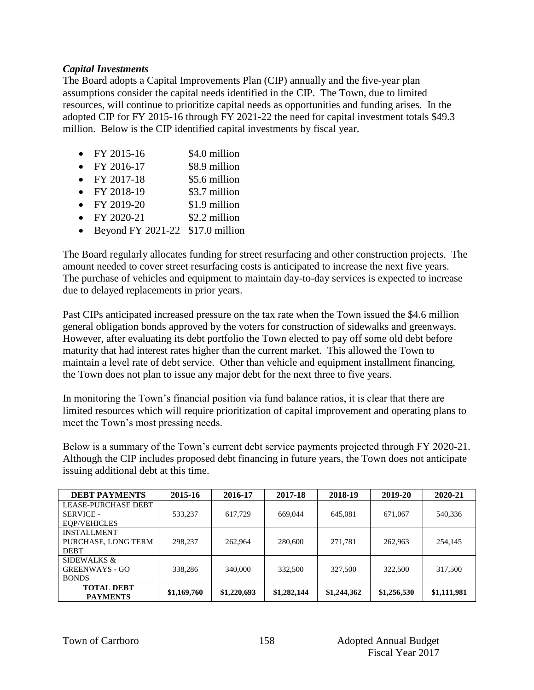#### *Capital Investments*

The Board adopts a Capital Improvements Plan (CIP) annually and the five-year plan assumptions consider the capital needs identified in the CIP. The Town, due to limited resources, will continue to prioritize capital needs as opportunities and funding arises. In the adopted CIP for FY 2015-16 through FY 2021-22 the need for capital investment totals \$49.3 million. Below is the CIP identified capital investments by fiscal year.

- FY 2015-16 \$4.0 million
- FY 2016-17 \$8.9 million
- FY 2017-18  $$5.6 \text{ million}$
- $FY 2018-19$  \$3.7 million
- $FY 2019-20$  \$1.9 million
- $FY$  2020-21  $$2.2$  million
- Beyond FY 2021-22  $$17.0$  million

The Board regularly allocates funding for street resurfacing and other construction projects. The amount needed to cover street resurfacing costs is anticipated to increase the next five years. The purchase of vehicles and equipment to maintain day-to-day services is expected to increase due to delayed replacements in prior years.

Past CIPs anticipated increased pressure on the tax rate when the Town issued the \$4.6 million general obligation bonds approved by the voters for construction of sidewalks and greenways. However, after evaluating its debt portfolio the Town elected to pay off some old debt before maturity that had interest rates higher than the current market. This allowed the Town to maintain a level rate of debt service. Other than vehicle and equipment installment financing, the Town does not plan to issue any major debt for the next three to five years.

In monitoring the Town's financial position via fund balance ratios, it is clear that there are limited resources which will require prioritization of capital improvement and operating plans to meet the Town's most pressing needs.

Below is a summary of the Town's current debt service payments projected through FY 2020-21. Although the CIP includes proposed debt financing in future years, the Town does not anticipate issuing additional debt at this time.

| <b>DEBT PAYMENTS</b>       | 2015-16     | 2016-17     | 2017-18     | 2018-19     | 2019-20     | 2020-21     |
|----------------------------|-------------|-------------|-------------|-------------|-------------|-------------|
| <b>LEASE-PURCHASE DEBT</b> |             |             |             |             |             |             |
| SERVICE -                  | 533,237     | 617,729     | 669,044     | 645,081     | 671,067     | 540,336     |
| <b>EOP/VEHICLES</b>        |             |             |             |             |             |             |
| <b>INSTALLMENT</b>         |             |             |             |             |             |             |
| PURCHASE, LONG TERM        | 298,237     | 262,964     | 280,600     | 271,781     | 262,963     | 254,145     |
| <b>DEBT</b>                |             |             |             |             |             |             |
| SIDEWALKS &                |             |             |             |             |             |             |
| <b>GREENWAYS - GO</b>      | 338,286     | 340,000     | 332,500     | 327,500     | 322,500     | 317,500     |
| <b>BONDS</b>               |             |             |             |             |             |             |
| <b>TOTAL DEBT</b>          | \$1,169,760 | \$1,220,693 | \$1,282,144 | \$1,244,362 | \$1,256,530 | \$1,111,981 |
| <b>PAYMENTS</b>            |             |             |             |             |             |             |